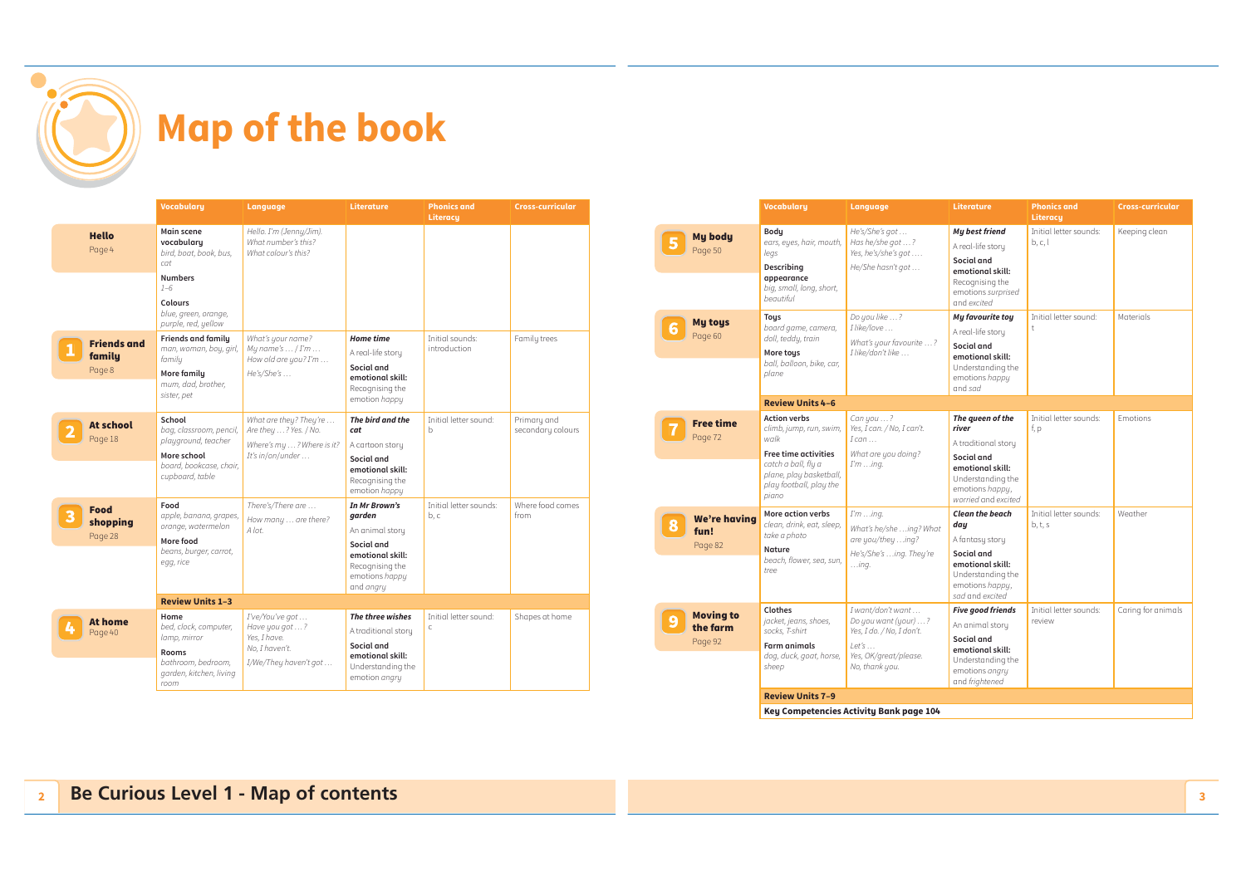

|                                        | <b>Vocabulary</b>                                                                                                     | Language                                                                                         | Literature                                                                                                  | <b>Phonics and</b><br>Literacu  | <b>Cross-curricular</b>          |
|----------------------------------------|-----------------------------------------------------------------------------------------------------------------------|--------------------------------------------------------------------------------------------------|-------------------------------------------------------------------------------------------------------------|---------------------------------|----------------------------------|
| <b>Hello</b><br>Page 4                 | Main scene<br>vocabulary<br>bird, boat, book, bus,<br>cat                                                             | Hello. I'm (Jenny/Jim).<br>What number's this?<br>What colour's this?                            |                                                                                                             |                                 |                                  |
|                                        | <b>Numbers</b><br>$1 - 6$                                                                                             |                                                                                                  |                                                                                                             |                                 |                                  |
|                                        | <b>Colours</b><br>blue, green, orange,<br>purple, red, yellow                                                         |                                                                                                  |                                                                                                             |                                 |                                  |
| <b>Friends and</b><br>family<br>Page 8 | <b>Friends and family</b><br>man, woman, boy, girl,<br>family<br>More family<br>mum, dad, brother,<br>sister, pet     | What's your name?<br>My name's $\ldots$ / I'm $\ldots$<br>How old are you? I'm<br>He's/She's     | <b>Home time</b><br>A real-life story<br>Social and<br>emotional skill:<br>Recognising the<br>emotion happy | Initial sounds:<br>introduction | Family trees                     |
| <b>At school</b><br>Page 18            | School<br>bag, classroom, pencil,<br>playground, teacher<br>More school<br>board, bookcase, chair,<br>cupboard, table | What are they? They're<br>Are they ? Yes. / No.<br>Where's my ? Where is it?<br>It's in/on/under | The bird and the<br>cat<br>A cartoon story<br>Social and<br>emotional skill:                                | Initial letter sound:<br>b.     | Primary and<br>secondary colours |
| Food<br>shopping<br>Page 28            | Food<br>apple, banana, grapes,<br>orange, watermelon<br>More food                                                     | There's/There are<br>How many  are there?<br>A lot.                                              | Recognising the<br>emotion happy<br>In Mr Brown's<br>garden<br>An animal story                              | Initial letter sounds:<br>b, c  | Where food comes<br>from         |
|                                        | beans, burger, carrot,<br>egg, rice                                                                                   |                                                                                                  | Social and<br>emotional skill:<br>Recognising the<br>emotions happy<br>and angry                            |                                 |                                  |
|                                        | <b>Review Units 1-3</b>                                                                                               |                                                                                                  |                                                                                                             |                                 |                                  |
| At home<br>Page 40                     | Home<br>bed, clock, computer,<br>lamp, mirror<br>Rooms<br>bathroom, bedroom,                                          | I've/You've got<br>Have you got ?<br>Yes. I have.<br>No, I haven't.<br>I/We/They haven't got     | The three wishes<br>A traditional story<br>Social and<br>emotional skill:<br>Understanding the              | Initial letter sound:<br>Ċ      | Shapes at home                   |
|                                        | garden, kitchen, living<br>room                                                                                       |                                                                                                  | emotion angry                                                                                               |                                 |                                  |

|                                         | <b>Vocabulary</b>                                                                                                                                                    | Language                                                                                                                   | Literature                                                                                                                                        | <b>Phonics and</b><br><b>Literacu</b> | Cross-curricular   |
|-----------------------------------------|----------------------------------------------------------------------------------------------------------------------------------------------------------------------|----------------------------------------------------------------------------------------------------------------------------|---------------------------------------------------------------------------------------------------------------------------------------------------|---------------------------------------|--------------------|
| <b>My body</b><br>Page 50               | Body<br>ears, eyes, hair, mouth,<br>legs<br>Describing<br>appearance<br>big, small, long, short,<br>beautiful                                                        | He's/She's got<br>Has he/she got ?<br>Yes, he's/she's got<br>He/She hasn't got                                             | My best friend<br>A real-life story<br>Social and<br>emotional skill:<br>Recognising the<br>emotions surprised<br>and excited                     | Initial letter sounds:<br>b, c, l     | Keeping clean      |
| <b>My toys</b><br>Page 60               | <b>Tous</b><br>board game, camera,<br>doll, teddu, train<br>More tous<br>ball, balloon, bike, car,<br>plane                                                          | Do you like ?<br>I like/love<br>What's your favourite ?<br>I like/don't like                                               | My favourite toy<br>A real-life story<br>Social and<br>emotional skill:<br>Understanding the<br>emotions happy<br>and sad                         | Initial letter sound:<br>$\ddagger$   | Materials          |
|                                         | <b>Review Units 4-6</b>                                                                                                                                              |                                                                                                                            |                                                                                                                                                   |                                       |                    |
| <b>Free time</b><br>Page 72             | <b>Action verbs</b><br>climb, jump, run, swim,<br>walk<br>Free time activities<br>catch a ball, fly a<br>plane, play basketball,<br>play football, play the<br>piano | Can you ?<br>Yes, I can. / No, I can't.<br>$I$ can $\ldots$<br>What are you doing?<br>Iming.                               | The queen of the<br>river<br>A traditional story<br>Social and<br>emotional skill:<br>Understanding the<br>emotions happy,<br>worried and excited | Initial letter sounds:<br>f, p        | <b>Emotions</b>    |
| We're havina<br>fun!<br>Page 82         | More action verbs<br>clean, drink, eat, sleep,<br>take a photo<br>Nature<br>beach, flower, sea, sun,<br>tree                                                         | Iming.<br>What's he/she ing? What<br>are you/they ing?<br>He's/She's ing. They're<br>$$ ing.                               | <b>Clean the beach</b><br>day<br>A fantasy story<br>Social and<br>emotional skill:<br>Understanding the<br>emotions happy,<br>sad and excited     | Initial letter sounds:<br>b, t, s     | Weather            |
| <b>Moving to</b><br>the farm<br>Page 92 | Clothes<br>jacket, jeans, shoes,<br>socks. T-shirt<br><b>Farm animals</b><br>dog, duck, goat, horse,<br>sheep                                                        | I want/don't want<br>Do you want (your) ?<br>Yes, I do. / No, I don't.<br>Let's<br>Yes, OK/great/please.<br>No, thank you. | <b>Five good friends</b><br>An animal story<br>Social and<br>emotional skill:<br>Understanding the<br>emotions angry<br>and frightened            | Initial letter sounds:<br>review      | Caring for animals |
|                                         | <b>Review Units 7-9</b>                                                                                                                                              |                                                                                                                            |                                                                                                                                                   |                                       |                    |
|                                         |                                                                                                                                                                      | Key Competencies Activity Bank page 104                                                                                    |                                                                                                                                                   |                                       |                    |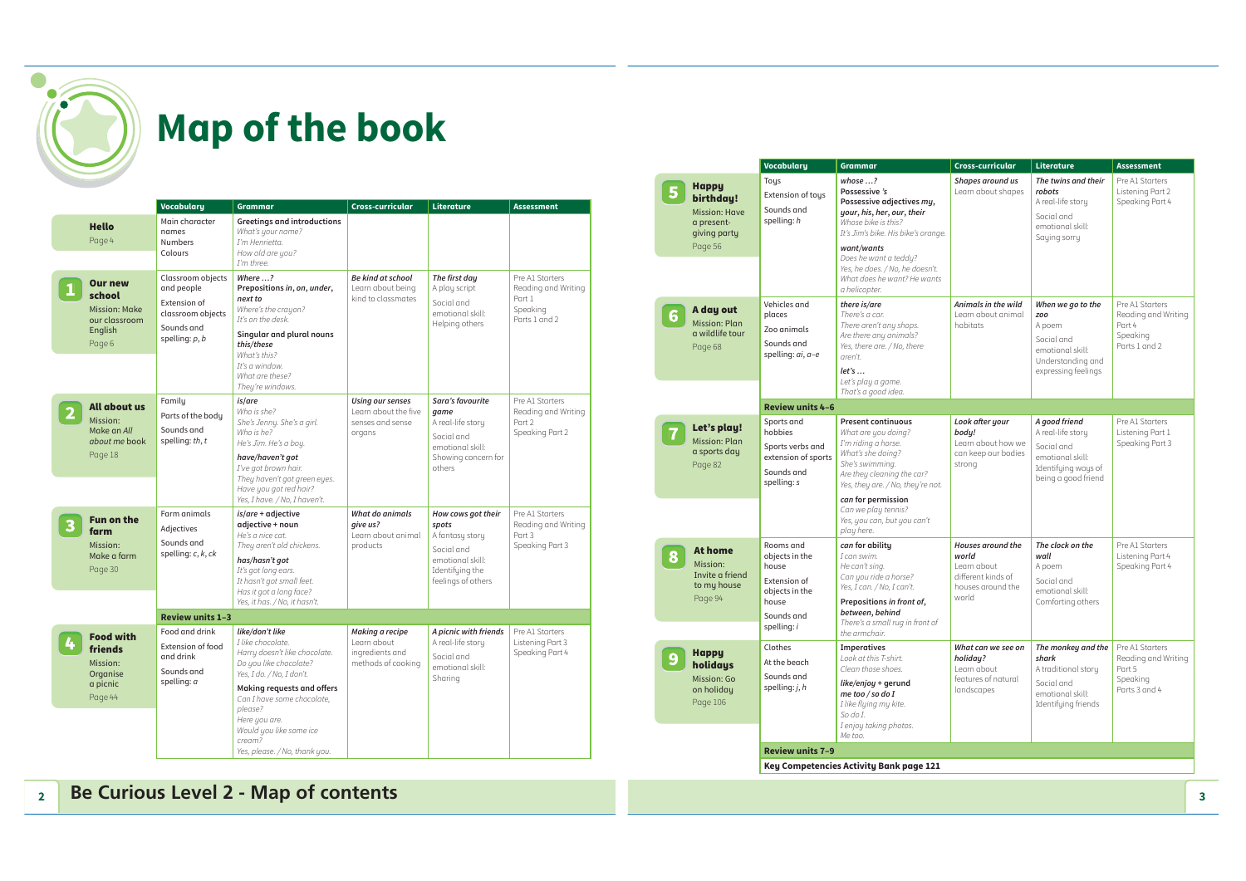

|                                                                                 | <b>Vocabulary</b>                                                                                      | <b>Grammar</b>                                                                                                                                                                                                                                                                             | Cross-curricular                                                               | Literature                                                                                                                | <b>Assessment</b>                                                             |
|---------------------------------------------------------------------------------|--------------------------------------------------------------------------------------------------------|--------------------------------------------------------------------------------------------------------------------------------------------------------------------------------------------------------------------------------------------------------------------------------------------|--------------------------------------------------------------------------------|---------------------------------------------------------------------------------------------------------------------------|-------------------------------------------------------------------------------|
| <b>Hello</b><br>Page 4                                                          | Main character<br>names<br>Numbers<br>Colours                                                          | <b>Greetings and introductions</b><br>What's your name?<br>I'm Henrietta.<br>How old are you?<br>I'm three.                                                                                                                                                                                |                                                                                |                                                                                                                           |                                                                               |
| <b>Our new</b><br>school<br>Mission: Make<br>our classroom<br>English<br>Page 6 | Classroom objects<br>and people<br>Extension of<br>classroom objects<br>Sounds and<br>spelling: $p, b$ | Where ?<br>Prepositions in, on, under,<br>next to<br>Where's the crayon?<br>It's on the desk.<br>Singular and plural nouns<br>this/these<br>What's this?<br>It's a window.<br>What are these?<br>They're windows.                                                                          | Be kind at school<br>Learn about being<br>kind to classmates                   | The first day<br>A play script<br>Social and<br>emotional skill:<br>Helping others                                        | Pre A1 Starters<br>Reading and Writing<br>Part 1<br>Speaking<br>Parts 1 and 2 |
| All about us<br>Mission:<br>Make an All<br>about me book<br>Page 18             | Family<br>Parts of the body<br>Sounds and<br>spelling: th, t                                           | is/are<br>Who is she?<br>She's Jenny. She's a girl.<br>Who is he?<br>He's Jim. He's a boy.<br>have/haven't got<br>I've got brown hair.<br>They haven't got green eyes.<br>Have you got red hair?<br>Yes, I have. / No, I haven't.                                                          | <b>Using our senses</b><br>Learn about the five<br>senses and sense.<br>organs | Sara's favourite<br>game<br>A real-life story<br>Social and<br>emotional skill:<br>Showing concern for<br>others          | Pre A1 Starters<br>Reading and Writing<br>Part 2<br>Speaking Part 2           |
| <b>Fun on the</b><br>farm<br>Mission:<br>Make a farm<br>Page 30                 | Farm animals<br>Adjectives<br>Sounds and<br>spelling: c, k, ck                                         | is/are + adjective<br>adjective + noun<br>He's a nice cat.<br>They aren't old chickens.<br>has/hasn't got<br>It's got long ears.<br>It hasn't got small feet.<br>Has it got a long face?<br>Yes, it has. / No, it hasn't.                                                                  | What do animals<br>aive us?<br>Learn about animal<br>products                  | How cows got their<br>spots<br>A fantasy story<br>Social and<br>emotional skill:<br>Identifying the<br>feelings of others | Pre A1 Starters<br>Reading and Writing<br>Part 3<br>Speaking Part 3           |
|                                                                                 | Review units 1-3                                                                                       |                                                                                                                                                                                                                                                                                            |                                                                                |                                                                                                                           |                                                                               |
| <b>Food with</b><br>friends<br>Mission:<br>Organise<br>a picnic<br>Page 44      | Food and drink<br>Extension of food<br>and drink<br>Sounds and<br>spelling: a                          | like/don't like<br>I like chocolate.<br>Harry doesn't like chocolate.<br>Do you like chocolate?<br>Yes, I do. / No, I don't.<br>Making requests and offers<br>Can I have some chocolate,<br>please?<br>Here you are.<br>Would you like some ice<br>cream?<br>Yes, please. / No, thank you. | Making a recipe<br>Learn about<br>ingredients and<br>methods of cooking        | A picnic with friends<br>A real-life story<br>Social and<br>emotional skill:<br>Sharing                                   | Pre A1 Starters<br>Listening Part 3<br>Speaking Part 4                        |

|   |                                                                                            | <b>Vocabulary</b>                                                                                            | Grammar                                                                                                                                                                                                                                                        | Cross-curricular                                                                              | Literature                                                                                                         | <b>Assessment</b>                                                             |
|---|--------------------------------------------------------------------------------------------|--------------------------------------------------------------------------------------------------------------|----------------------------------------------------------------------------------------------------------------------------------------------------------------------------------------------------------------------------------------------------------------|-----------------------------------------------------------------------------------------------|--------------------------------------------------------------------------------------------------------------------|-------------------------------------------------------------------------------|
|   | <b>Happy</b><br>birthday!<br><b>Mission: Have</b><br>a present-<br>giving party<br>Page 56 | Tous<br>Extension of toys<br>Sounds and<br>spelling: h                                                       | $whose ?Possessive 'sPossessive adjectives my,your, his, her, our, theirWhose bike is this?It's Jim's bike. His bike's orange.want/wantsDoes he want a teddy?Yes, he does. / No, he doesn't.What does he want? He wantsa helicopter.$                          | Shapes around us<br>Learn about shapes                                                        | The twins and their<br>robots<br>A real-life story<br>Social and<br>emotional skill:<br>Saying sorry               | Pre A1 Starters<br>Listening Part 2<br>Speaking Part 4                        |
|   | A day out<br><b>Mission: Plan</b><br>a wildlife tour<br>Page 68                            | Vehicles and<br>places<br>Zoo animals<br>Sounds and<br>spelling: ai, a-e                                     | there is/are<br>There's a car.<br>There aren't any shops.<br>Are there any animals?<br>Yes, there are. / No, there<br>aren't.<br>let's<br>Let's play a game.<br>That's a good idea.                                                                            | Animals in the wild<br>Learn about animal<br>habitats                                         | When we go to the<br>zoo<br>A poem<br>Social and<br>emotional skill:<br>Understanding and<br>expressing feelings   | Pre A1 Starters<br>Reading and Writing<br>Part 4<br>Speaking<br>Parts 1 and 2 |
|   |                                                                                            | Review units 4-6                                                                                             |                                                                                                                                                                                                                                                                |                                                                                               |                                                                                                                    |                                                                               |
|   | Let's play!<br><b>Mission: Plan</b><br>a sports day<br>Page 82                             | Sports and<br>hobbies<br>Sports verbs and<br>extension of sports<br>Sounds and<br>spelling: s                | <b>Present continuous</b><br>What are you doing?<br>I'm riding a horse.<br>What's she doing?<br>She's swimming.<br>Are they cleaning the car?<br>Yes, they are. / No, they're not.<br>can for permission<br>Can we play tennis?<br>Yes, you can, but you can't | Look after your<br>body!<br>Learn about how we<br>can keep our bodies<br>strong               | A good friend<br>A real-life story<br>Social and<br>emotional skill:<br>Identifying ways of<br>being a good friend | Pre A1 Starters<br>Listening Part 1<br>Speaking Part 3                        |
| 8 | <b>At home</b><br>Mission:<br>Invite a friend<br>to my house<br>Page 94                    | Rooms and<br>obiects in the<br>house<br>Extension of<br>objects in the<br>house<br>Sounds and<br>spelling: i | play here.<br>can for ability<br>I can swim.<br>He can't sing.<br>Can you ride a horse?<br>Yes, I can. / No, I can't.<br>Prepositions in front of,<br>between, behind<br>There's a small rug in front of<br>the armchair.                                      | Houses around the<br>world<br>Learn about<br>different kinds of<br>houses around the<br>world | The clock on the<br>wall<br>A poem<br>Social and<br>emotional skill:<br>Comforting others                          | Pre A1 Starters<br>Listening Part 4<br>Speaking Part 4                        |
|   | <b>Happy</b><br>holidays<br>Mission: Go<br>on holiday<br>Page 106                          | Clothes<br>At the beach<br>Sounds and<br>spelling: $j, h$                                                    | <b>Imperatives</b><br>Look at this T-shirt.<br>Clean those shoes.<br>like/enjoy + gerund<br>me too / so do I<br>I like flying my kite.<br>So do I.<br>I enjoy taking photos.<br>Me too.                                                                        | What can we see on<br>holiday?<br>Learn about<br>features of natural<br>landscapes            | The monkey and the<br>shark<br>A traditional story<br>Social and<br>emotional skill:<br>Identifying friends        | Pre A1 Starters<br>Reading and Writing<br>Part 5<br>Speaking<br>Parts 3 and 4 |
|   |                                                                                            | Review units 7-9                                                                                             |                                                                                                                                                                                                                                                                |                                                                                               |                                                                                                                    |                                                                               |
|   |                                                                                            |                                                                                                              | Key Competencies Activity Bank page 121                                                                                                                                                                                                                        |                                                                                               |                                                                                                                    |                                                                               |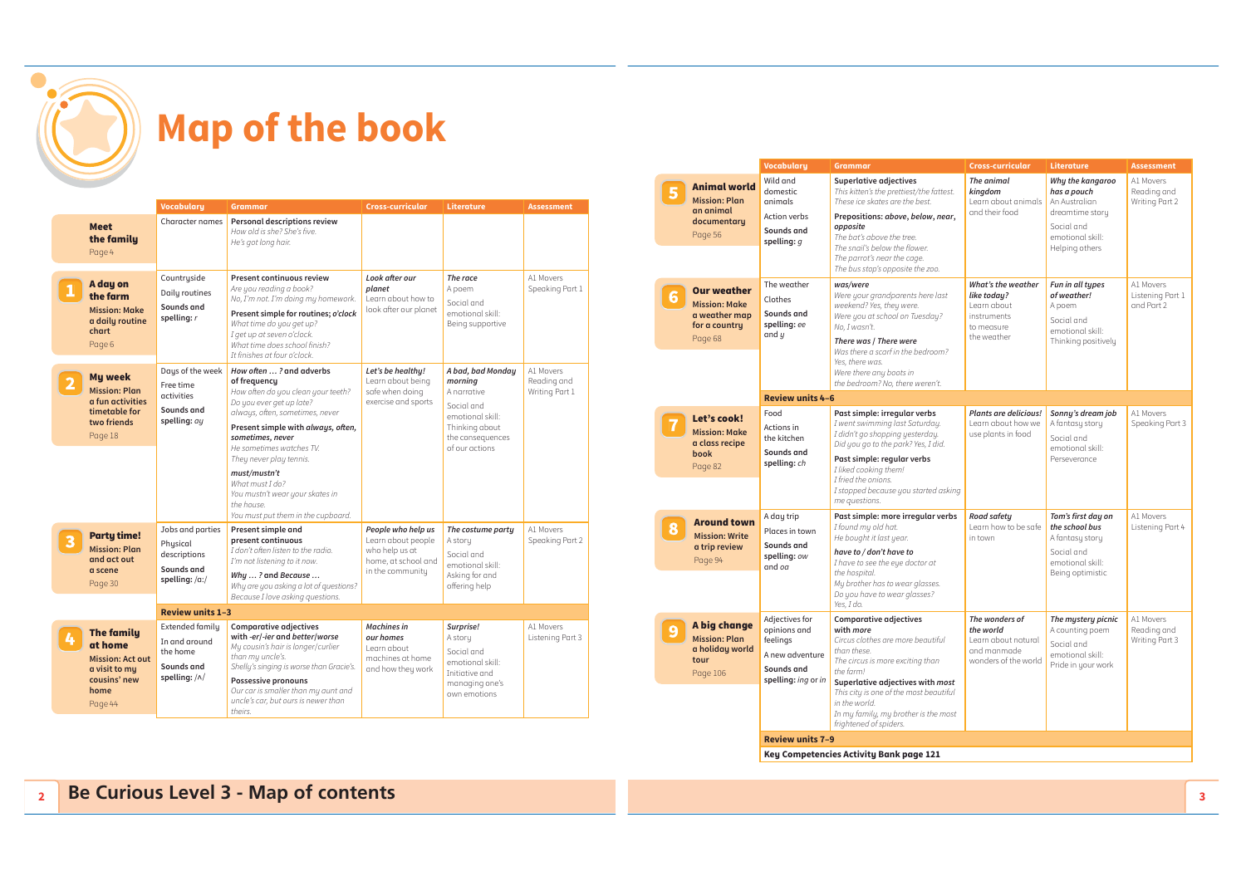

|   |                                                                                                             | <b>Vocabulary</b>                                                                         | <b>Grammar</b>                                                                                                                                                                                                                                                                                                                                                                          | Cross-curricular                                                                                      | Literature                                                                                                                            | <b>Assessment</b>                          |
|---|-------------------------------------------------------------------------------------------------------------|-------------------------------------------------------------------------------------------|-----------------------------------------------------------------------------------------------------------------------------------------------------------------------------------------------------------------------------------------------------------------------------------------------------------------------------------------------------------------------------------------|-------------------------------------------------------------------------------------------------------|---------------------------------------------------------------------------------------------------------------------------------------|--------------------------------------------|
|   | <b>Meet</b><br>the family<br>Page 4                                                                         | Character names                                                                           | <b>Personal descriptions review</b><br>How old is she? She's five.<br>He's got long hair.                                                                                                                                                                                                                                                                                               |                                                                                                       |                                                                                                                                       |                                            |
|   | A day on<br>the farm<br><b>Mission: Make</b><br>a daily routine<br>chart<br>Page 6                          | Countryside<br>Daily routines<br>Sounds and<br>spelling: $r$                              | <b>Present continuous review</b><br>Are you reading a book?<br>No, I'm not. I'm doing my homework.<br>Present simple for routines; o'clock<br>What time do you get up?<br>I get up at seven o'clock.<br>What time does school finish?<br>It finishes at four o'clock.                                                                                                                   | Look after our<br>planet<br>Learn about how to<br>look after our planet                               | The race<br>A poem<br>Social and<br>emotional skill:<br>Being supportive                                                              | A1 Movers<br>Speaking Part 1               |
|   | <b>My week</b><br><b>Mission: Plan</b><br>a fun activities<br>timetable for<br>two friends<br>Page 18       | Days of the week<br>Free time<br>activities<br>Sounds and<br>spelling: ay                 | How often ? and adverbs<br>of frequency<br>How often do you clean your teeth?<br>Do you ever get up late?<br>always, often, sometimes, never<br>Present simple with always, often,<br>sometimes, never<br>He sometimes watches TV.<br>They never play tennis.<br>must/mustn't<br>What must I do?<br>You mustn't wear your skates in<br>the house.<br>You must put them in the cupboard. | Let's be healthy!<br>Learn about being<br>safe when doing<br>exercise and sports                      | A bad, bad Monday<br>morning<br>A narrative<br>Social and<br>emotional skill:<br>Thinking about<br>the consequences<br>of our actions | A1 Movers<br>Reading and<br>Writing Part 1 |
|   | <b>Party time!</b><br><b>Mission: Plan</b><br>and act out<br>a scene<br>Page 30                             | Jobs and parties<br>Physical<br>descriptions<br>Sounds and<br>spelling: /a:/              | Present simple and<br>present continuous<br>I don't often listen to the radio.<br>I'm not listening to it now.<br>Why ? and Because<br>Why are you asking a lot of questions?<br>Because I love asking questions.                                                                                                                                                                       | People who help us<br>Learn about people<br>who help us at<br>home, at school and<br>in the community | The costume party<br>A story<br>Social and<br>emotional skill:<br>Asking for and<br>offering help                                     | A1 Movers<br>Speaking Part 2               |
|   |                                                                                                             | <b>Review units 1-3</b>                                                                   |                                                                                                                                                                                                                                                                                                                                                                                         |                                                                                                       |                                                                                                                                       |                                            |
| 4 | <b>The family</b><br>at home<br><b>Mission: Act out</b><br>a visit to my<br>cousins' new<br>home<br>Page 44 | <b>Extended family</b><br>In and around<br>the home<br>Sounds and<br>spelling: $/\wedge/$ | <b>Comparative adjectives</b><br>with -er/-ier and better/worse<br>Mu cousin's hair is longer/curlier<br>than my uncle's.<br>Shelly's singing is worse than Gracie's.<br><b>Possessive pronouns</b><br>Our car is smaller than my aunt and<br>uncle's car, but ours is newer than<br>theirs.                                                                                            | <b>Machines</b> in<br>our homes<br>Learn about<br>machines at home<br>and how they work               | Surprise!<br>A story<br>Social and<br>emotional skill:<br>Initiative and<br>managing one's<br>own emotions                            | A1 Movers<br>Listening Part 3              |

|                                                                                         | <b>Vocabulary</b>                                                                                  | <b>Grammar</b>                                                                                                                                                                                                                                                                                                          | Cross-curricular                                                                             | Literature                                                                                                              | <b>Assessment</b>                           |
|-----------------------------------------------------------------------------------------|----------------------------------------------------------------------------------------------------|-------------------------------------------------------------------------------------------------------------------------------------------------------------------------------------------------------------------------------------------------------------------------------------------------------------------------|----------------------------------------------------------------------------------------------|-------------------------------------------------------------------------------------------------------------------------|---------------------------------------------|
| <b>Animal world</b><br><b>Mission: Plan</b><br>an animal<br>documentary<br>Page 56      | Wild and<br>domestic<br>animals<br>Action verbs<br>Sounds and<br>spelling: $q$                     | <b>Superlative adjectives</b><br>This kitten's the prettiest/the fattest.<br>These ice skates are the best.<br>Prepositions: above, below, near,<br>opposite<br>The bat's above the tree.<br>The snail's below the flower.<br>The parrot's near the cage.<br>The bus stop's opposite the zoo.                           | The animal<br>kingdom<br>Learn about animals<br>and their food                               | Why the kangaroo<br>has a pouch<br>An Australian<br>dreamtime story<br>Social and<br>emotional skill:<br>Helping others | A1 Movers<br>Reading and<br>Writing Part 2  |
| <b>Our weather</b><br><b>Mission: Make</b><br>a weather map<br>for a country<br>Page 68 | The weather<br>Clothes<br>Sounds and<br>spelling: ee<br>and $y$                                    | was/were<br>Were your grandparents here last<br>weekend? Yes, they were.<br>Were you at school on Tuesday?<br>No, I wasn't.<br>There was / There were<br>Was there a scarf in the bedroom?<br>Yes, there was.<br>Were there any boots in<br>the bedroom? No, there weren't.                                             | What's the weather<br>like today?<br>Learn about<br>instruments<br>to measure<br>the weather | Fun in all types<br>of weather!<br>A poem<br>Social and<br>emotional skill:<br>Thinking positively                      | A1 Movers<br>Listening Part 1<br>and Part 2 |
|                                                                                         | <b>Review units 4-6</b>                                                                            |                                                                                                                                                                                                                                                                                                                         |                                                                                              |                                                                                                                         |                                             |
| Let's cook!<br><b>Mission: Make</b><br>a class recipe<br>book<br>Page 82                | Food<br>Actions in<br>the kitchen<br>Sounds and<br>spelling: ch                                    | Past simple: irregular verbs<br>I went swimming last Saturday.<br>I didn't go shopping yesterday.<br>Did you go to the park? Yes, I did.<br>Past simple: regular verbs<br>I liked cooking them!<br>I fried the onions.<br>I stopped because you started asking<br>me questions.                                         | <b>Plants are delicious!</b><br>Learn about how we<br>use plants in food                     | Sonny's dream job<br>A fantasy story<br>Social and<br>emotional skill:<br>Perseverance                                  | A1 Movers<br>Speaking Part 3                |
| <b>Around town</b><br><b>Mission: Write</b><br>a trip review<br>Page 94                 | A day trip<br>Places in town<br>Sounds and<br>spelling: ow<br>$and$ $oa$                           | Past simple: more irregular verbs<br>I found my old hat.<br>He bought it last year.<br>have to / don't have to<br>I have to see the eye doctor at<br>the hospital.<br>My brother has to wear glasses.<br>Do you have to wear glasses?<br>Yes, I do.                                                                     | Road safety<br>Learn how to be safe<br>in town                                               | Tom's first day on<br>the school bus<br>A fantasy story<br>Social and<br>emotional skill:<br>Being optimistic           | A1 Movers<br>Listening Part 4               |
| A big change<br><b>Mission: Plan</b><br>a holiday world<br>tour<br>Page 106             | Adjectives for<br>opinions and<br>feelings<br>A new adventure<br>Sounds and<br>spelling: ing or in | <b>Comparative adjectives</b><br>with <i>more</i><br>Circus clothes are more beautiful<br>than these.<br>The circus is more exciting than<br>the farm!<br>Superlative adjectives with most<br>This city is one of the most beautiful<br>in the world.<br>In my family, my brother is the most<br>frightened of spiders. | The wonders of<br>the world<br>Learn about natural<br>and manmade<br>wonders of the world    | The mystery picnic<br>A counting poem<br>Social and<br>emotional skill:<br>Pride in your work                           | A1 Movers<br>Reading and<br>Writing Part 3  |
|                                                                                         | <b>Review units 7-9</b>                                                                            |                                                                                                                                                                                                                                                                                                                         |                                                                                              |                                                                                                                         |                                             |
|                                                                                         |                                                                                                    | Key Competencies Activity Bank page 121                                                                                                                                                                                                                                                                                 |                                                                                              |                                                                                                                         |                                             |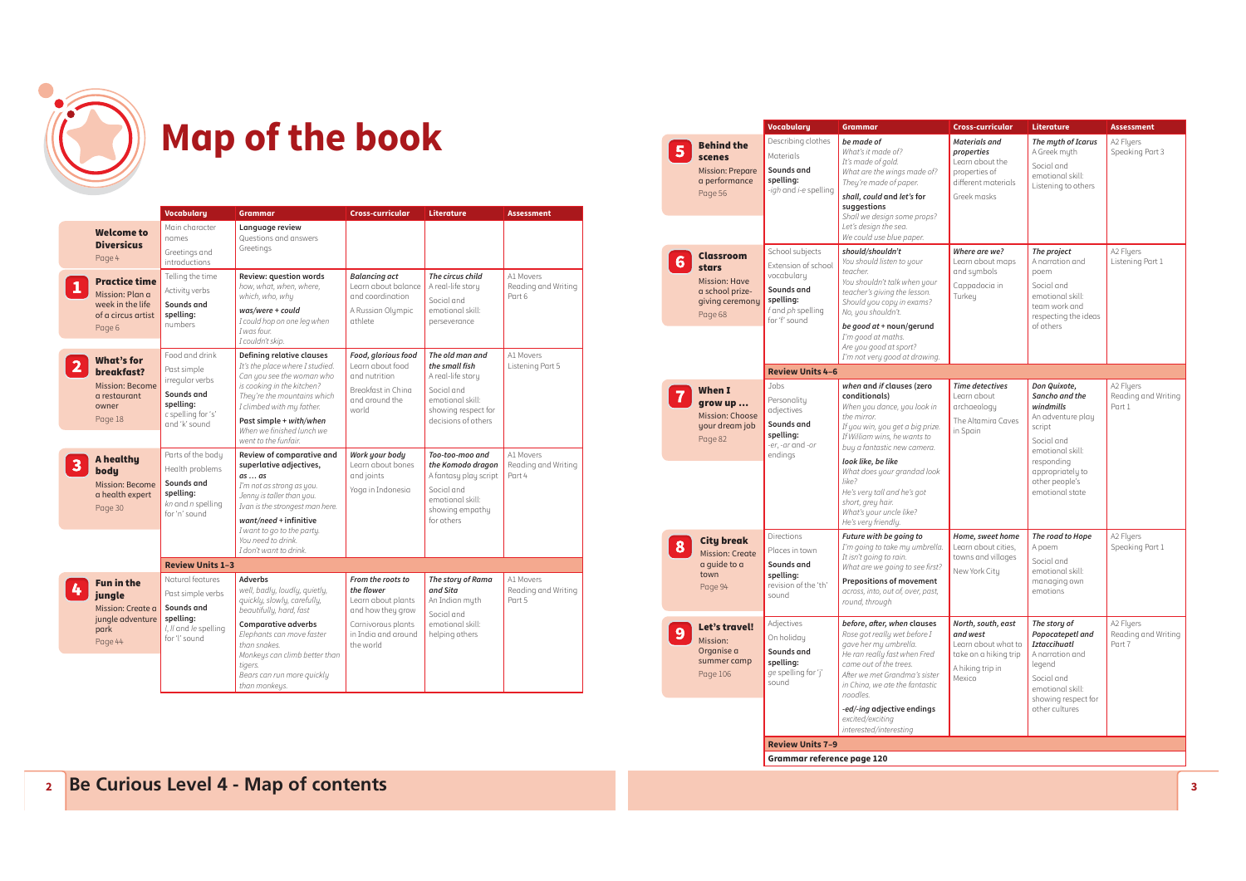

|                |                                                                                             | <b>Vocabulary</b>                                                                                                  | <b>Grammar</b>                                                                                                                                                                                                                                                                 | <b>Cross-curricular</b>                                                                                                              | Literature                                                                                                                             | <b>Assessment</b>                          |
|----------------|---------------------------------------------------------------------------------------------|--------------------------------------------------------------------------------------------------------------------|--------------------------------------------------------------------------------------------------------------------------------------------------------------------------------------------------------------------------------------------------------------------------------|--------------------------------------------------------------------------------------------------------------------------------------|----------------------------------------------------------------------------------------------------------------------------------------|--------------------------------------------|
|                | <b>Welcome to</b><br><b>Diversicus</b><br>Page 4                                            | Main character<br>names<br>Greetings and<br><i>introductions</i>                                                   | Language review<br>Questions and answers<br>Greetings                                                                                                                                                                                                                          |                                                                                                                                      |                                                                                                                                        |                                            |
| $\mathbf{1}$   | <b>Practice time</b><br>Mission: Plan a<br>week in the life<br>of a circus artist<br>Page 6 | Telling the time<br>Activity verbs<br>Sounds and<br>spelling:<br>numbers                                           | Review: question words<br>how, what, when, where,<br>which, who, why<br>was/were + could<br>I could hop on one leg when<br>I was four<br>I couldn't skip.                                                                                                                      | <b>Balancing act</b><br>Learn about balance<br>and coordination<br>A Russian Olumpic<br>athlete                                      | The circus child<br>A real-life story<br>Social and<br>emotional skill:<br>perseverance                                                | A1 Movers<br>Reading and Writing<br>Part 6 |
| $\overline{2}$ | What's for<br>breakfast?<br><b>Mission: Become</b><br>a restaurant<br>owner<br>Page 18      | Food and drink<br>Past simple<br>irregular verbs<br>Sounds and<br>spelling:<br>c spelling for 's'<br>and 'k' sound | <b>Defining relative clauses</b><br>It's the place where I studied.<br>Can you see the woman who<br>is cooking in the kitchen?<br>They're the mountains which<br>I climbed with my father.<br>Past simple + with/when<br>When we finished lunch we<br>went to the funfair.     | Food, glorious food<br>Learn about food<br>and nutrition.<br>Breakfast in China<br>and around the<br>world                           | The old man and<br>the small fish<br>A real-life story<br>Social and<br>emotional skill:<br>showing respect for<br>decisions of others | A1 Movers<br>Listening Part 5              |
| $\mathbf{3}$   | A healthy<br>body<br><b>Mission: Become</b><br>a health expert<br>Page 30                   | Parts of the body<br>Health problems<br>Sounds and<br>spelling:<br>$kn$ and $n$ spelling<br>for 'n' sound          | Review of comparative and<br>superlative adjectives,<br>$as \ldots as$<br>I'm not as strong as you.<br>Jenny is taller than you.<br>Ivan is the strongest man here.<br>$want/need + infinite$<br>I want to go to the party.<br>You need to drink.<br>I don't want to drink.    | Work your body<br>Learn about bones<br>and joints<br>Yoga in Indonesia                                                               | Too-too-moo and<br>the Komodo dragon<br>A fantasy play script<br>Social and<br>emotional skill:<br>showing empathy<br>for others       | A1 Movers<br>Reading and Writing<br>Part 4 |
|                |                                                                                             | <b>Review Units 1-3</b>                                                                                            |                                                                                                                                                                                                                                                                                |                                                                                                                                      |                                                                                                                                        |                                            |
| 4              | <b>Fun in the</b><br>jungle<br>Mission: Create a<br>jungle adventure<br>park<br>Page 44     | Natural features<br>Past simple verbs<br>Sounds and<br>spelling:<br>I, II and le spelling<br>for 'I' sound         | <b>Adverbs</b><br>well, badlu, loudlu, quietlu,<br>quickly, slowly, carefully,<br>beautifully, hard, fast<br><b>Comparative adverbs</b><br>Elephants can move faster<br>than snakes<br>Monkeys can climb better than<br>tigers.<br>Bears can run more quickly<br>than monkeys. | From the roots to<br>the flower<br>Learn about plants<br>and how they grow<br>Carnivorous plants<br>in India and around<br>the world | The story of Rama<br>and Sita<br>An Indian myth<br>Social and<br>emotional skill:<br>helping others                                    | A1 Movers<br>Reading and Writing<br>Part 5 |

|                                                                                                    | <b>Vocabulary</b>                                                                                                     | <b>Grammar</b>                                                                                                                                                                                                                                                                                                                                                  | Cross-curricular                                                                                             | <b>Literature</b>                                                                                                                                                                   | <b>Assessment</b>                          |
|----------------------------------------------------------------------------------------------------|-----------------------------------------------------------------------------------------------------------------------|-----------------------------------------------------------------------------------------------------------------------------------------------------------------------------------------------------------------------------------------------------------------------------------------------------------------------------------------------------------------|--------------------------------------------------------------------------------------------------------------|-------------------------------------------------------------------------------------------------------------------------------------------------------------------------------------|--------------------------------------------|
| <b>Behind the</b><br>scenes<br><b>Mission: Prepare</b><br>a performance<br>Page 56                 | Describing clothes<br>Materials<br>Sounds and<br>spelling:<br>-igh and i-e spelling                                   | be made of<br>What's it made of?<br>It's made of gold.<br>What are the wings made of?<br>They're made of paper.<br>shall, could and let's for<br>suggestions<br>Shall we design some props?<br>Let's design the sea.<br>We could use blue paper.                                                                                                                | Materials and<br>properties<br>Learn about the<br>properties of<br>different materials<br>Greek masks        | The myth of Icarus<br>A Greek myth<br>Social and<br>emotional skill:<br>Listening to others                                                                                         | A2 Flyers<br>Speaking Part 3               |
| <b>Classroom</b><br>stars<br><b>Mission: Have</b><br>a school prize-<br>giving ceremony<br>Page 68 | School subjects<br>Extension of school<br>vocabulary<br>Sounds and<br>spelling:<br>f and ph spelling<br>for 'f' sound | should/shouldn't<br>You should listen to your<br>teacher<br>You shouldn't talk when your<br>teacher's giving the lesson.<br>Should you copy in exams?<br>No, you shouldn't.<br>be good at + noun/gerund<br>I'm good at maths.<br>Are you good at sport?<br>I'm not very good at drawing.                                                                        | Where are we?<br>Learn about maps<br>and sumbols<br>Cappadocia in<br>Turkeu                                  | The project<br>A narration and<br>poem<br>Social and<br>emotional skill:<br>team work and<br>respecting the ideas<br>of others                                                      | A2 Fluers<br>Listening Part 1              |
|                                                                                                    | <b>Review Units 4-6</b>                                                                                               |                                                                                                                                                                                                                                                                                                                                                                 |                                                                                                              |                                                                                                                                                                                     |                                            |
| When I<br>grow up<br>Mission: Choose<br>your dream job<br>Page 82                                  | Jobs<br>Personality<br>adjectives<br>Sounds and<br>spelling:<br>-er, -ar and -or<br>endings                           | when and if clauses (zero<br>conditionals)<br>When you dance, you look in<br>the mirror.<br>If you win, you get a big prize.<br>If William wins, he wants to<br>buy a fantastic new camera.<br>look like, be like<br>What does your grandad look<br>like?<br>He's very tall and he's got<br>short, grey hair.<br>What's your uncle like?<br>He's very friendly. | <b>Time detectives</b><br>Learn about<br>archaeology<br>The Altamira Caves<br>in Spain                       | Don Quixote,<br>Sancho and the<br>windmills<br>An adventure play<br>script<br>Social and<br>emotional skill:<br>responding<br>appropriately to<br>other people's<br>emotional state | A2 Flyers<br>Reading and Writing<br>Part 1 |
| <b>City break</b><br><b>Mission: Create</b><br>a quide to a<br>town<br>Page 94                     | <b>Directions</b><br>Places in town<br>Sounds and<br>spelling:<br>revision of the 'th'<br>sound                       | Future with be going to<br>I'm going to take my umbrella.<br>It isn't going to rain.<br>What are we going to see first?<br><b>Prepositions of movement</b><br>across, into, out of, over, past,<br>round, through                                                                                                                                               | Home, sweet home<br>Learn about cities,<br>towns and villages<br>New York City                               | The road to Hope<br>A poem<br>Social and<br>emotional skill:<br>managing own<br>emotions                                                                                            | A2 Flyers<br>Speaking Part 1               |
| Let's travel!<br>Mission:<br>Organise a<br>summer camp<br>Page 106                                 | Adjectives<br>On holiday<br>Sounds and<br>spelling:<br>ge spelling for 'j'<br>sound                                   | before, after, when clauses<br>Rose got really wet before I<br>gave her my umbrella.<br>He ran really fast when Fred<br>came out of the trees.<br>After we met Grandma's sister<br>in China, we ate the fantastic<br>noodles.<br>-ed/-ing adjective endings<br>excited/exciting<br>interested/interesting                                                       | North, south, east<br>and west<br>Learn about what to<br>take on a hiking trip<br>A hiking trip in<br>Mexico | The story of<br>Popocatepetl and<br><b>Iztaccihuatl</b><br>A narration and<br>legend<br>Social and<br>emotional skill:<br>showing respect for<br>other cultures                     | A2 Flyers<br>Reading and Writing<br>Part 7 |
|                                                                                                    | <b>Review Units 7-9</b>                                                                                               |                                                                                                                                                                                                                                                                                                                                                                 |                                                                                                              |                                                                                                                                                                                     |                                            |

**Grammar reference page 120**

#### **2 Be Curious Level 4 - Map of contents <sup>3</sup>**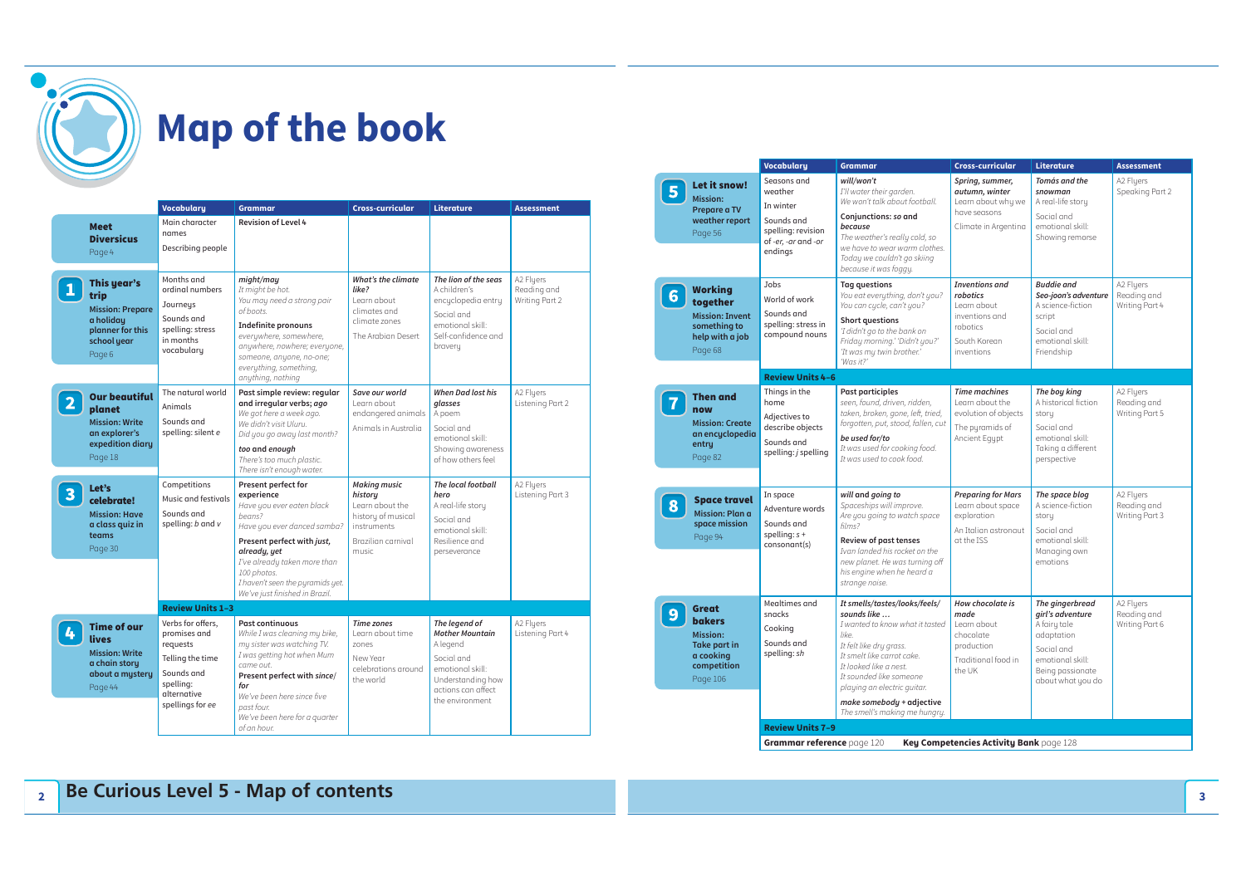

**2**

|                         |                                                                                                          | <b>Vocabulary</b>                                                                                                               | <b>Grammar</b>                                                                                                                                                                                                                                                             | <b>Cross-curricular</b>                                                                                                      | Literature                                                                                                                                          | <b>Assessment</b>                          |
|-------------------------|----------------------------------------------------------------------------------------------------------|---------------------------------------------------------------------------------------------------------------------------------|----------------------------------------------------------------------------------------------------------------------------------------------------------------------------------------------------------------------------------------------------------------------------|------------------------------------------------------------------------------------------------------------------------------|-----------------------------------------------------------------------------------------------------------------------------------------------------|--------------------------------------------|
|                         | <b>Meet</b><br><b>Diversicus</b><br>Page 4                                                               | Main character<br>names<br>Describing people                                                                                    | <b>Revision of Level 4</b>                                                                                                                                                                                                                                                 |                                                                                                                              |                                                                                                                                                     |                                            |
| $\mathbf{1}$            | This year's<br>trip<br><b>Mission: Prepare</b><br>a holiday<br>planner for this<br>school year<br>Page 6 | Months and<br>ordinal numbers<br>Journeys<br>Sounds and<br>spelling: stress<br>in months<br>vocabulary                          | might/may<br>It might be hot.<br>You may need a strong pair<br>of boots.<br><b>Indefinite pronouns</b><br>everuwhere, somewhere,<br>anywhere, nowhere; everyone,<br>someone, anyone, no-one;<br>everything, something,<br>anything, nothing                                | <b>What's the climate</b><br>like?<br>Learn about<br>climates and<br>climate zones<br>The Arabian Desert                     | The lion of the seas<br>A children's<br>encyclopedia entry<br>Social and<br>emotional skill:<br>Self-confidence and<br>bravery                      | A2 Fluers<br>Reading and<br>Writing Part 2 |
| $\overline{2}$          | <b>Our beautiful</b><br>planet<br><b>Mission: Write</b><br>an explorer's<br>expedition diary<br>Page 18  | The natural world<br>Animals<br>Sounds and<br>spelling: silent e                                                                | Past simple review: regular<br>and irregular verbs; ago<br>We got here a week ago.<br>We didn't visit Uluru.<br>Did you go away last month?<br>too and enough<br>There's too much plastic.<br>There isn't enough water.                                                    | Save our world<br>Learn about<br>endangered animals<br>Animals in Australia                                                  | <b>When Dad lost his</b><br>alasses<br>A poem<br>Social and<br>emotional skill:<br>Showing awareness<br>of how others feel                          | A2 Flyers<br>Listening Part 2              |
| $\overline{\mathbf{3}}$ | Let's<br>celebrate!<br><b>Mission: Have</b><br>a class quiz in<br>teams<br>Page 30                       | Competitions<br>Music and festivals<br>Sounds and<br>spelling: $b$ and $v$                                                      | Present perfect for<br>experience<br>Have you ever eaten black<br>beans?<br>Have you ever danced samba?<br>Present perfect with just,<br>already, yet<br>I've already taken more than<br>100 photos.<br>I haven't seen the pyramids yet.<br>We've just finished in Brazil. | <b>Making music</b><br>historu<br>Learn about the<br>history of musical<br><i>instruments</i><br>Brazilian carnival<br>music | The local football<br>hero<br>A real-life story<br>Social and<br>emotional skill:<br>Resilience and<br>perseverance                                 | A2 Flyers<br>Listening Part 3              |
|                         |                                                                                                          | <b>Review Units 1-3</b>                                                                                                         |                                                                                                                                                                                                                                                                            |                                                                                                                              |                                                                                                                                                     |                                            |
| 4                       | <b>Time of our</b><br>lives<br><b>Mission: Write</b><br>a chain story<br>about a mystery<br>Page 44      | Verbs for offers.<br>promises and<br>requests<br>Telling the time<br>Sounds and<br>spelling:<br>alternative<br>spellings for ee | <b>Past continuous</b><br>While I was cleaning my bike,<br>my sister was watching TV.<br>I was getting hot when Mum<br>came out.<br>Present perfect with since/<br>for<br>We've been here since five<br>past four.<br>We've been here for a quarter<br>of an hour.         | <b>Time zones</b><br>Learn about time<br>zones<br>New Year<br>celebrations around<br>the world                               | The legend of<br><b>Mother Mountain</b><br>A legend<br>Social and<br>emotional skill:<br>Understanding how<br>actions can affect<br>the environment | A2 Fluers<br>Listening Part 4              |

|   |                                                                                                                 | <b>Vocabulary</b>                                                                                        | <b>Grammar</b>                                                                                                                                                                                                                                                                                      | <b>Cross-curricular</b>                                                                                      | Literature                                                                                                                                   | <b>Assessment</b>                          |  |  |  |
|---|-----------------------------------------------------------------------------------------------------------------|----------------------------------------------------------------------------------------------------------|-----------------------------------------------------------------------------------------------------------------------------------------------------------------------------------------------------------------------------------------------------------------------------------------------------|--------------------------------------------------------------------------------------------------------------|----------------------------------------------------------------------------------------------------------------------------------------------|--------------------------------------------|--|--|--|
| 5 | Let it snow!<br><b>Mission:</b><br>Prepare a TV<br>weather report<br>Page 56                                    | Seasons and<br>weather<br>In winter<br>Sounds and<br>spelling: revision<br>of-er, -ar and -or<br>endings | will/won't<br>I'll water their garden.<br>We won't talk about football.<br>Conjunctions: so and<br>because<br>The weather's really cold, so<br>we have to wear warm clothes.<br>Today we couldn't go skiing<br>because it was foggy.                                                                | Spring, summer,<br>autumn, winter<br>Learn about why we<br>have seasons<br>Climate in Argentina              | Tomás and the<br>snowman<br>A real-life story<br>Social and<br>emotional skill:<br>Showing remorse                                           | A2 Flyers<br>Speaking Part 2               |  |  |  |
| 6 | Working<br>together<br><b>Mission: Invent</b><br>something to<br>help with a job<br>Page 68                     | Jobs<br>World of work<br>Sounds and<br>spelling: stress in<br>compound nouns                             | <b>Tag questions</b><br>You eat everything, don't you?<br>You can cycle, can't you?<br><b>Short questions</b><br>'I didn't go to the bank on<br>Friday morning.' 'Didn't you?'<br>'It was my twin brother.'<br>'Was it?'                                                                            | <b>Inventions</b> and<br>robotics<br>Learn about<br>inventions and<br>robotics<br>South Korean<br>inventions | <b>Buddie and</b><br>Seo-joon's adventure<br>A science-fiction<br>script<br>Social and<br>emotional skill:<br>Friendship                     | A2 Fluers<br>Reading and<br>Writing Part 4 |  |  |  |
|   |                                                                                                                 | <b>Review Units 4-6</b>                                                                                  |                                                                                                                                                                                                                                                                                                     |                                                                                                              |                                                                                                                                              |                                            |  |  |  |
|   | <b>Then and</b><br>now<br><b>Mission: Create</b><br>an encyclopedia<br>entry<br>Page 82                         | Things in the<br>home<br>Adjectives to<br>describe objects<br>Sounds and<br>spelling: j spelling         | <b>Past participles</b><br>seen, found, driven, ridden,<br>taken, broken, gone, left, tried,<br>forgotten, put, stood, fallen, cut<br>be used for/to<br>It was used for cooking food.<br>It was used to cook food.                                                                                  | <b>Time machines</b><br>Learn about the<br>evolution of objects<br>The puramids of<br>Ancient Equpt          | The boy king<br>A historical fiction<br>story<br>Social and<br>emotional skill:<br>Taking a different<br>perspective                         | A2 Flyers<br>Reading and<br>Writing Part 5 |  |  |  |
| 8 | <b>Space travel</b><br><b>Mission: Plan a</b><br>space mission<br>Page 94                                       | In space<br>Adventure words<br>Sounds and<br>spelling: $s +$<br>consonant(s)                             | will and going to<br>Spaceships will improve.<br>Are you going to watch space<br>films?<br><b>Review of past tenses</b><br>Ivan landed his rocket on the<br>new planet. He was turning off<br>his engine when he heard a<br>strange noise.                                                          | <b>Preparing for Mars</b><br>Learn about space<br>exploration<br>An Italian astronaut<br>at the ISS          | The space blog<br>A science-fiction<br>story<br>Social and<br>emotional skill:<br>Managing own<br>emotions                                   | A2 Fluers<br>Reading and<br>Writing Part 3 |  |  |  |
|   | <b>Great</b><br><b>bakers</b><br><b>Mission:</b><br><b>Take part in</b><br>a cooking<br>competition<br>Page 106 | Mealtimes and<br>snacks<br>Cooking<br>Sounds and<br>spelling: sh                                         | It smells/tastes/looks/feels/<br>sounds like<br>I wanted to know what it tasted<br>like.<br>It felt like dry grass.<br>It smelt like carrot cake.<br>It looked like a nest.<br>It sounded like someone<br>playing an electric quitar.<br>make somebody + adjective<br>The smell's making me hungry. | How chocolate is<br>made<br>Learn about<br>chocolate<br>production<br>Traditional food in<br>the UK          | The gingerbread<br>girl's adventure<br>A fairy tale<br>adaptation<br>Social and<br>emotional skill:<br>Being passionate<br>about what you do | A2 Flyers<br>Reading and<br>Writing Part 6 |  |  |  |
|   |                                                                                                                 | <b>Review Units 7-9</b>                                                                                  |                                                                                                                                                                                                                                                                                                     |                                                                                                              |                                                                                                                                              |                                            |  |  |  |
|   |                                                                                                                 |                                                                                                          |                                                                                                                                                                                                                                                                                                     | Grammar reference page 120<br>Key Competencies Activity Bank page 128                                        |                                                                                                                                              |                                            |  |  |  |